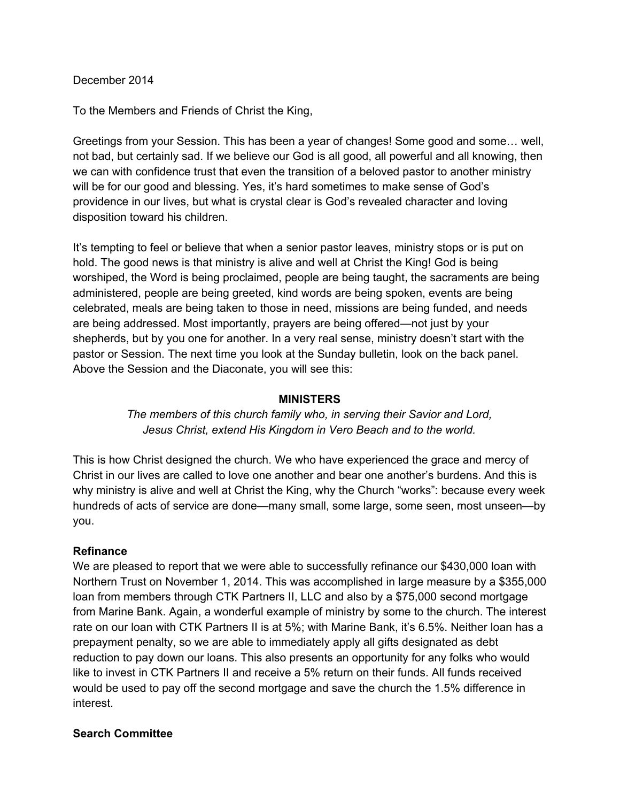## December 2014

To the Members and Friends of Christ the King,

Greetings from your Session. This has been a year of changes! Some good and some… well, not bad, but certainly sad. If we believe our God is all good, all powerful and all knowing, then we can with confidence trust that even the transition of a beloved pastor to another ministry will be for our good and blessing. Yes, it's hard sometimes to make sense of God's providence in our lives, but what is crystal clear is God's revealed character and loving disposition toward his children.

It's tempting to feel or believe that when a senior pastor leaves, ministry stops or is put on hold. The good news is that ministry is alive and well at Christ the King! God is being worshiped, the Word is being proclaimed, people are being taught, the sacraments are being administered, people are being greeted, kind words are being spoken, events are being celebrated, meals are being taken to those in need, missions are being funded, and needs are being addressed. Most importantly, prayers are being offered—not just by your shepherds, but by you one for another. In a very real sense, ministry doesn't start with the pastor or Session. The next time you look at the Sunday bulletin, look on the back panel. Above the Session and the Diaconate, you will see this:

#### **MINISTERS**

*The members of this church family who, in serving their Savior and Lord, Jesus Christ, extend His Kingdom in Vero Beach and to the world.*

This is how Christ designed the church. We who have experienced the grace and mercy of Christ in our lives are called to love one another and bear one another's burdens. And this is why ministry is alive and well at Christ the King, why the Church "works": because every week hundreds of acts of service are done—many small, some large, some seen, most unseen—by you.

## **Refinance**

We are pleased to report that we were able to successfully refinance our \$430,000 loan with Northern Trust on November 1, 2014. This was accomplished in large measure by a \$355,000 loan from members through CTK Partners II, LLC and also by a \$75,000 second mortgage from Marine Bank. Again, a wonderful example of ministry by some to the church. The interest rate on our loan with CTK Partners II is at 5%; with Marine Bank, it's 6.5%. Neither loan has a prepayment penalty, so we are able to immediately apply all gifts designated as debt reduction to pay down our loans. This also presents an opportunity for any folks who would like to invest in CTK Partners II and receive a 5% return on their funds. All funds received would be used to pay off the second mortgage and save the church the 1.5% difference in interest.

## **Search Committee**